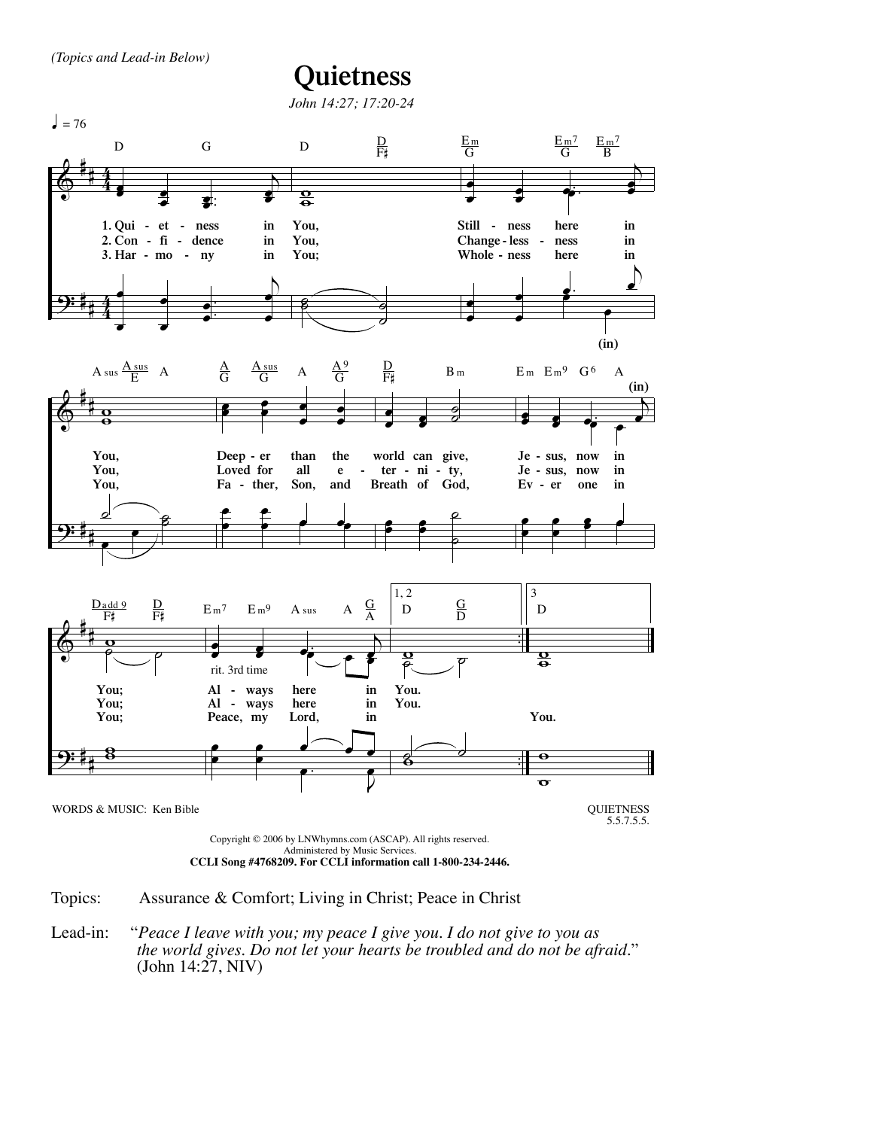*(Topics and Lead-in Below)*

## **Quietness**



Topics: Assurance & Comfort; Living in Christ; Peace in Christ

Lead-in: "*Peace I leave with you; my peace I give you. I do not give to you as the world gives. Do not let your hearts be troubled and do not be afraid.*" (John 14:27, NIV)